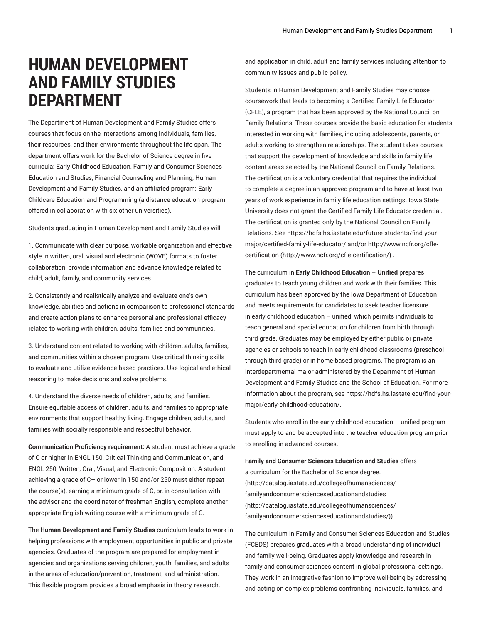# **HUMAN DEVELOPMENT AND FAMILY STUDIES DEPARTMENT**

The Department of Human Development and Family Studies offers courses that focus on the interactions among individuals, families, their resources, and their environments throughout the life span. The department offers work for the Bachelor of Science degree in five curricula: Early Childhood Education, Family and Consumer Sciences Education and Studies, Financial Counseling and Planning, Human Development and Family Studies, and an affiliated program: Early Childcare Education and Programming (a distance education program offered in collaboration with six other universities).

Students graduating in Human Development and Family Studies will

1. Communicate with clear purpose, workable organization and effective style in written, oral, visual and electronic (WOVE) formats to foster collaboration, provide information and advance knowledge related to child, adult, family, and community services.

2. Consistently and realistically analyze and evaluate one's own knowledge, abilities and actions in comparison to professional standards and create action plans to enhance personal and professional efficacy related to working with children, adults, families and communities.

3. Understand content related to working with children, adults, families, and communities within a chosen program. Use critical thinking skills to evaluate and utilize evidence-based practices. Use logical and ethical reasoning to make decisions and solve problems.

4. Understand the diverse needs of children, adults, and families. Ensure equitable access of children, adults, and families to appropriate environments that support healthy living. Engage children, adults, and families with socially responsible and respectful behavior.

**Communication Proficiency requirement:** A student must achieve a grade of C or higher in ENGL 150, Critical Thinking and Communication, and ENGL 250, Written, Oral, Visual, and Electronic Composition. A student achieving a grade of C– or lower in 150 and/or 250 must either repeat the course(s), earning a minimum grade of C, or, in consultation with the advisor and the coordinator of freshman English, complete another appropriate English writing course with a minimum grade of C.

The **Human Development and Family Studies** curriculum leads to work in helping professions with employment opportunities in public and private agencies. Graduates of the program are prepared for employment in agencies and organizations serving children, youth, families, and adults in the areas of education/prevention, treatment, and administration. This flexible program provides a broad emphasis in theory, research,

and application in child, adult and family services including attention to community issues and public policy.

Students in Human Development and Family Studies may choose coursework that leads to becoming a Certified Family Life Educator (CFLE), a program that has been approved by the National Council on Family Relations. These courses provide the basic education for students interested in working with families, including adolescents, parents, or adults working to strengthen relationships. The student takes courses that support the development of knowledge and skills in family life content areas selected by the National Council on Family Relations. The certification is a voluntary credential that requires the individual to complete a degree in an approved program and to have at least two years of work experience in family life education settings. Iowa State University does not grant the Certified Family Life Educator credential. The certification is granted only by the National Council on Family Relations. See [https://hdfs.hs.iastate.edu/future-students/find-your](https://hdfs.hs.iastate.edu/future-students/find-your-major/certified-family-life-educator/)[major/certified-family-life-educator/](https://hdfs.hs.iastate.edu/future-students/find-your-major/certified-family-life-educator/) and/or [http://www.ncfr.org/cfle](http://www.ncfr.org/cfle-certification/)[certification](http://www.ncfr.org/cfle-certification/) ([http://www.ncfr.org/cfle-certification/\)](http://www.ncfr.org/cfle-certification/) .

The curriculum in **Early Childhood Education – Unified** prepares graduates to teach young children and work with their families. This curriculum has been approved by the Iowa Department of Education and meets requirements for candidates to seek teacher licensure in early childhood education – unified, which permits individuals to teach general and special education for children from birth through third grade. Graduates may be employed by either public or private agencies or schools to teach in early childhood classrooms (preschool through third grade) or in home-based programs. The program is an interdepartmental major administered by the Department of Human Development and Family Studies and the School of Education. For more information about the program, see [https://hdfs.hs.iastate.edu/find-your](https://hdfs.hs.iastate.edu/find-your-major/early-childhood-education/)[major/early-childhood-education/.](https://hdfs.hs.iastate.edu/find-your-major/early-childhood-education/)

Students who enroll in the early childhood education – unified program must apply to and be accepted into the teacher education program prior to enrolling in advanced courses.

**Family and Consumer Sciences Education and Studies** offers a curriculum for the Bachelor of Science degree. [\(http://catalog.iastate.edu/collegeofhumansciences/](http://catalog.iastate.edu/collegeofhumansciences/familyandconsumerscienceseducationandstudies/) [familyandconsumerscienceseducationandstudies](http://catalog.iastate.edu/collegeofhumansciences/familyandconsumerscienceseducationandstudies/) [\(http://catalog.iastate.edu/collegeofhumansciences/](http://catalog.iastate.edu/collegeofhumansciences/familyandconsumerscienceseducationandstudies/) [familyandconsumerscienceseducationandstudies/\)](http://catalog.iastate.edu/collegeofhumansciences/familyandconsumerscienceseducationandstudies/))

The curriculum in Family and Consumer Sciences Education and Studies (FCEDS) prepares graduates with a broad understanding of individual and family well-being. Graduates apply knowledge and research in family and consumer sciences content in global professional settings. They work in an integrative fashion to improve well-being by addressing and acting on complex problems confronting individuals, families, and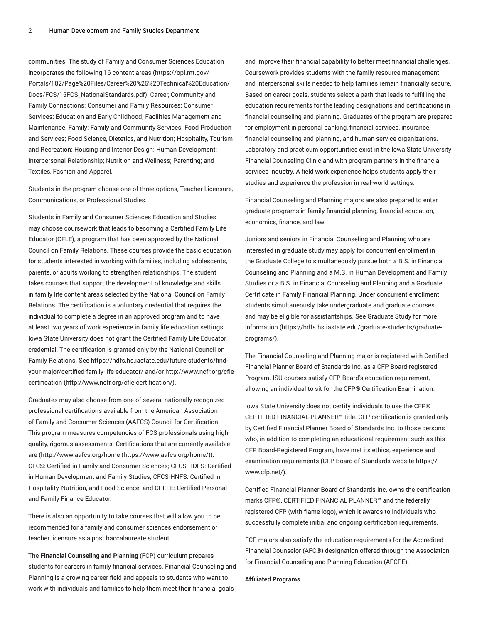communities. The study of Family and Consumer Sciences Education incorporates the following 16 [content](https://opi.mt.gov/Portals/182/Page%20Files/Career%20%26%20Technical%20Education/Docs/FCS/15FCS_NationalStandards.pdf) areas ([https://opi.mt.gov/](https://opi.mt.gov/Portals/182/Page%20Files/Career%20%26%20Technical%20Education/Docs/FCS/15FCS_NationalStandards.pdf) [Portals/182/Page%20Files/Career%20%26%20Technical%20Education/](https://opi.mt.gov/Portals/182/Page%20Files/Career%20%26%20Technical%20Education/Docs/FCS/15FCS_NationalStandards.pdf) [Docs/FCS/15FCS\\_NationalStandards.pdf](https://opi.mt.gov/Portals/182/Page%20Files/Career%20%26%20Technical%20Education/Docs/FCS/15FCS_NationalStandards.pdf)): Career, Community and Family Connections; Consumer and Family Resources; Consumer Services; Education and Early Childhood; Facilities Management and Maintenance; Family; Family and Community Services; Food Production and Services; Food Science, Dietetics, and Nutrition; Hospitality, Tourism and Recreation; Housing and Interior Design; Human Development; Interpersonal Relationship; Nutrition and Wellness; Parenting; and Textiles, Fashion and Apparel.

Students in the program choose one of three options, Teacher Licensure, Communications, or Professional Studies.

Students in Family and Consumer Sciences Education and Studies may choose coursework that leads to becoming a Certified Family Life Educator (CFLE), a program that has been approved by the National Council on Family Relations. These courses provide the basic education for students interested in working with families, including adolescents, parents, or adults working to strengthen relationships. The student takes courses that support the development of knowledge and skills in family life content areas selected by the National Council on Family Relations. The certification is a voluntary credential that requires the individual to complete a degree in an approved program and to have at least two years of work experience in family life education settings. Iowa State University does not grant the Certified Family Life Educator credential. The certification is granted only by the National Council on Family Relations. See [https://hdfs.hs.iastate.edu/future-students/find](https://hdfs.hs.iastate.edu/future-students/find-your-major/certified-family-life-educator/)[your-major/certified-family-life-educator/](https://hdfs.hs.iastate.edu/future-students/find-your-major/certified-family-life-educator/) and/or [http://www.ncfr.org/cfle](http://www.ncfr.org/cfle-certification/)[certification](http://www.ncfr.org/cfle-certification/) (<http://www.ncfr.org/cfle-certification/>).

Graduates may also choose from one of several nationally recognized professional certifications available from the American Association of Family and Consumer Sciences (AAFCS) Council for Certification. This program measures competencies of FCS professionals using highquality, rigorous assessments. Certifications that are currently available are ([http://www.aafcs.org/home](https://www.aafcs.org/home/) ([https://www.aafcs.org/home/\)](https://www.aafcs.org/home/)): CFCS: Certified in Family and Consumer Sciences; CFCS-HDFS: Certified in Human Development and Family Studies; CFCS-HNFS: Certified in Hospitality, Nutrition, and Food Science; and CPFFE: Certified Personal and Family Finance Educator.

There is also an opportunity to take courses that will allow you to be recommended for a family and consumer sciences endorsement or teacher licensure as a post baccalaureate student.

The **Financial Counseling and Planning** (FCP) curriculum prepares students for careers in family financial services. Financial Counseling and Planning is a growing career field and appeals to students who want to work with individuals and families to help them meet their financial goals

and improve their financial capability to better meet financial challenges. Coursework provides students with the family resource management and interpersonal skills needed to help families remain financially secure. Based on career goals, students select a path that leads to fulfilling the education requirements for the leading designations and certifications in financial counseling and planning. Graduates of the program are prepared for employment in personal banking, financial services, insurance, financial counseling and planning, and human service organizations. Laboratory and practicum opportunities exist in the Iowa State University Financial Counseling Clinic and with program partners in the financial services industry. A field work experience helps students apply their studies and experience the profession in real-world settings.

Financial Counseling and Planning majors are also prepared to enter graduate programs in family financial planning, financial education, economics, finance, and law.

Juniors and seniors in Financial Counseling and Planning who are interested in graduate study may apply for concurrent enrollment in the Graduate College to simultaneously pursue both a B.S. in Financial Counseling and Planning and a M.S. in Human Development and Family Studies or a B.S. in Financial Counseling and Planning and a Graduate Certificate in Family Financial Planning. Under concurrent enrollment, students simultaneously take undergraduate and graduate courses and may be eligible for assistantships. See Graduate Study for more information ([https://hdfs.hs.iastate.edu/graduate-students/graduate](https://hdfs.hs.iastate.edu/graduate-students/graduate-programs/)[programs/](https://hdfs.hs.iastate.edu/graduate-students/graduate-programs/)).

The Financial Counseling and Planning major is registered with Certified Financial Planner Board of Standards Inc. as a CFP Board-registered Program. ISU courses satisfy CFP Board's education requirement, allowing an individual to sit for the CFP® Certification Examination.

Iowa State University does not certify individuals to use the CFP® CERTIFIED FINANCIAL PLANNER™ title. CFP certification is granted only by Certified Financial Planner Board of Standards Inc. to those persons who, in addition to completing an educational requirement such as this CFP Board-Registered Program, have met its ethics, experience and examination requirements (CFP Board of Standards website [https://](https://www.cfp.net/) [www.cfp.net/\)](https://www.cfp.net/).

Certified Financial Planner Board of Standards Inc. owns the certification marks CFP®, CERTIFIED FINANCIAL PLANNER™ and the federally registered CFP (with flame logo), which it awards to individuals who successfully complete initial and ongoing certification requirements.

FCP majors also satisfy the education requirements for the Accredited Financial Counselor (AFC®) designation offered through the Association for Financial Counseling and Planning Education (AFCPE).

#### **Affiliated Programs**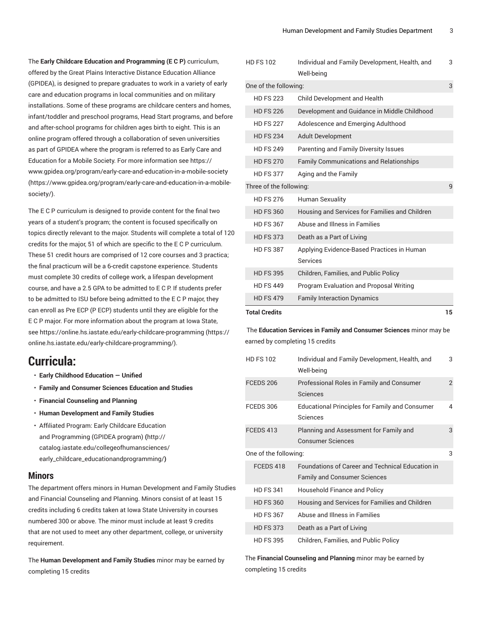The **Early Childcare Education and Programming (E C P)** curriculum, offered by the Great Plains Interactive Distance Education Alliance (GPIDEA), is designed to prepare graduates to work in a variety of early care and education programs in local communities and on military installations. Some of these programs are childcare centers and homes, infant/toddler and preschool programs, Head Start programs, and before and after-school programs for children ages birth to eight. This is an online program offered through a collaboration of seven universities as part of GPIDEA where the program is referred to as Early Care and Education for a Mobile Society. For more information see [https://](https://www.gpidea.org/program/early-care-and-education-in-a-mobile-society/) [www.gpidea.org/program/early-care-and-education-in-a-mobile-society](https://www.gpidea.org/program/early-care-and-education-in-a-mobile-society/) ([https://www.gpidea.org/program/early-care-and-education-in-a-mobile](https://www.gpidea.org/program/early-care-and-education-in-a-mobile-society/)[society/](https://www.gpidea.org/program/early-care-and-education-in-a-mobile-society/)).

The E C P curriculum is designed to provide content for the final two years of a student's program; the content is focused specifically on topics directly relevant to the major. Students will complete a total of 120 credits for the major, 51 of which are specific to the E C P curriculum. These 51 credit hours are comprised of 12 core courses and 3 practica; the final practicum will be a 6-credit capstone experience. Students must complete 30 credits of college work, a lifespan development course, and have a 2.5 GPA to be admitted to E C P. If students prefer to be admitted to ISU before being admitted to the E C P major, they can enroll as Pre ECP (P ECP) students until they are eligible for the E C P major. For more information about the program at Iowa State, see [https://online.hs.iastate.edu/early-childcare-programming \(https://](https://online.hs.iastate.edu/early-childcare-programming/) [online.hs.iastate.edu/early-childcare-programming/\)](https://online.hs.iastate.edu/early-childcare-programming/).

## **Curricula:**

- **Early Childhood Education — Unified**
- **Family and Consumer Sciences Education and Studies**
- **Financial Counseling and Planning**
- **Human Development and Family Studies**
- Affiliated Program: Early Childcare [Education](http://catalog.iastate.edu/collegeofhumansciences/early_childcare_educationandprogramming/) and [Programming](http://catalog.iastate.edu/collegeofhumansciences/early_childcare_educationandprogramming/) (GPIDEA program) **(**[http://](http://catalog.iastate.edu/collegeofhumansciences/early_childcare_educationandprogramming/) [catalog.iastate.edu/collegeofhumansciences/](http://catalog.iastate.edu/collegeofhumansciences/early_childcare_educationandprogramming/) [early\\_childcare\\_educationandprogramming/](http://catalog.iastate.edu/collegeofhumansciences/early_childcare_educationandprogramming/)**)**

## **Minors**

The department offers minors in Human Development and Family Studies and Financial Counseling and Planning. Minors consist of at least 15 credits including 6 credits taken at Iowa State University in courses numbered 300 or above. The minor must include at least 9 credits that are not used to meet any other department, college, or university requirement.

The **Human Development and Family Studies** minor may be earned by completing 15 credits

| <b>Total Credits</b>    |                                                               |   |  |
|-------------------------|---------------------------------------------------------------|---|--|
| <b>HD FS 479</b>        | <b>Family Interaction Dynamics</b>                            |   |  |
| <b>HD FS 449</b>        | <b>Program Evaluation and Proposal Writing</b>                |   |  |
| <b>HD FS 395</b>        | Children, Families, and Public Policy                         |   |  |
| <b>HD FS 387</b>        | Applying Evidence-Based Practices in Human<br><b>Services</b> |   |  |
| <b>HD FS 373</b>        | Death as a Part of Living                                     |   |  |
| <b>HD FS 367</b>        | Abuse and Illness in Families                                 |   |  |
| <b>HD FS 360</b>        | Housing and Services for Families and Children                |   |  |
| <b>HD FS 276</b>        | <b>Human Sexuality</b>                                        |   |  |
| Three of the following: |                                                               |   |  |
| <b>HD FS 377</b>        | Aging and the Family                                          |   |  |
| <b>HD FS 270</b>        | <b>Family Communications and Relationships</b>                |   |  |
| <b>HD FS 249</b>        | Parenting and Family Diversity Issues                         |   |  |
| <b>HD FS 234</b>        | <b>Adult Development</b>                                      |   |  |
| <b>HD FS 227</b>        | Adolescence and Emerging Adulthood                            |   |  |
| <b>HD FS 226</b>        | Development and Guidance in Middle Childhood                  |   |  |
| <b>HD FS 223</b>        | Child Development and Health                                  |   |  |
| One of the following:   |                                                               |   |  |
| <b>HD FS 102</b>        | Individual and Family Development, Health, and<br>Well-being  | 3 |  |
|                         |                                                               |   |  |

 The **Education Services in Family and Consumer Sciences** minor may be earned by completing 15 credits

| <b>HD FS 102</b>      | Individual and Family Development, Health, and<br>Well-being                                   | 3 |
|-----------------------|------------------------------------------------------------------------------------------------|---|
| FCEDS 206             | Professional Roles in Family and Consumer<br>Sciences                                          | 2 |
| FCEDS 306             | <b>Educational Principles for Family and Consumer</b><br>Sciences                              | 4 |
| FCEDS 413             | Planning and Assessment for Family and<br><b>Consumer Sciences</b>                             | 3 |
| One of the following: |                                                                                                | 3 |
| FCEDS 418             | <b>Foundations of Career and Technical Education in</b><br><b>Family and Consumer Sciences</b> |   |
| <b>HD FS 341</b>      | Household Finance and Policy                                                                   |   |
| <b>HD FS 360</b>      | Housing and Services for Families and Children                                                 |   |
| <b>HD FS 367</b>      | Abuse and Illness in Families                                                                  |   |
| <b>HD FS 373</b>      | Death as a Part of Living                                                                      |   |
| <b>HD FS 395</b>      | Children, Families, and Public Policy                                                          |   |

The **Financial Counseling and Planning** minor may be earned by completing 15 credits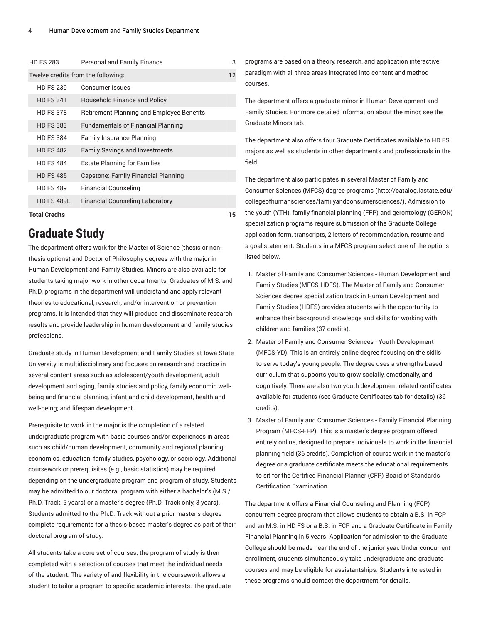| <b>HD FS 283</b>                   | Personal and Family Finance               | 3 |
|------------------------------------|-------------------------------------------|---|
| Twelve credits from the following: |                                           |   |
| <b>HD FS 239</b>                   | Consumer Issues                           |   |
| <b>HD FS 341</b>                   | Household Finance and Policy              |   |
| <b>HD FS 378</b>                   | Retirement Planning and Employee Benefits |   |
| <b>HD FS 383</b>                   | <b>Fundamentals of Financial Planning</b> |   |
| <b>HD FS 384</b>                   | <b>Family Insurance Planning</b>          |   |
| <b>HD FS 482</b>                   | <b>Family Savings and Investments</b>     |   |
| <b>HD FS 484</b>                   | <b>Estate Planning for Families</b>       |   |
| <b>HD FS 485</b>                   | Capstone: Family Financial Planning       |   |
| <b>HD FS 489</b>                   | <b>Financial Counseling</b>               |   |
| <b>HD FS 489L</b>                  | <b>Financial Counseling Laboratory</b>    |   |
| <b>Total Credits</b>               |                                           |   |

## **Graduate Study**

The department offers work for the Master of Science (thesis or nonthesis options) and Doctor of Philosophy degrees with the major in Human Development and Family Studies. Minors are also available for students taking major work in other departments. Graduates of M.S. and Ph.D. programs in the department will understand and apply relevant theories to educational, research, and/or intervention or prevention programs. It is intended that they will produce and disseminate research results and provide leadership in human development and family studies professions.

Graduate study in Human Development and Family Studies at Iowa State University is multidisciplinary and focuses on research and practice in several content areas such as adolescent/youth development, adult development and aging, family studies and policy, family economic wellbeing and financial planning, infant and child development, health and well-being; and lifespan development.

Prerequisite to work in the major is the completion of a related undergraduate program with basic courses and/or experiences in areas such as child/human development, community and regional planning, economics, education, family studies, psychology, or sociology. Additional coursework or prerequisites (e.g., basic statistics) may be required depending on the undergraduate program and program of study. Students may be admitted to our doctoral program with either a bachelor's (M.S./ Ph.D. Track, 5 years) or a master's degree (Ph.D. Track only, 3 years). Students admitted to the Ph.D. Track without a prior master's degree complete requirements for a thesis-based master's degree as part of their doctoral program of study.

All students take a core set of courses; the program of study is then completed with a selection of courses that meet the individual needs of the student. The variety of and flexibility in the coursework allows a student to tailor a program to specific academic interests. The graduate programs are based on a theory, research, and application interactive paradigm with all three areas integrated into content and method courses.

The department offers a graduate minor in Human Development and Family Studies. For more detailed information about the minor, see the Graduate Minors tab.

The department also offers four Graduate Certificates available to HD FS majors as well as students in other departments and professionals in the field.

The department also participates in several Master of Family and Consumer Sciences (MFCS) degree programs (http://catalog.iastate.edu/ collegeofhumansciences/familyandconsumersciences/). Admission to the youth (YTH), family financial planning (FFP) and gerontology (GERON) specialization programs require submission of the Graduate College application form, transcripts, 2 letters of recommendation, resume and a goal statement. Students in a MFCS program select one of the options listed below.

- 1. Master of Family and Consumer Sciences Human Development and Family Studies (MFCS-HDFS). The Master of Family and Consumer Sciences degree specialization track in Human Development and Family Studies (HDFS) provides students with the opportunity to enhance their background knowledge and skills for working with children and families (37 credits).
- 2. Master of Family and Consumer Sciences Youth Development (MFCS-YD). This is an entirely online degree focusing on the skills to serve today's young people. The degree uses a strengths-based curriculum that supports you to grow socially, emotionally, and cognitively. There are also two youth development related certificates available for students (see Graduate Certificates tab for details) (36 credits).
- 3. Master of Family and Consumer Sciences Family Financial Planning Program (MFCS-FFP). This is a master's degree program offered entirely online, designed to prepare individuals to work in the financial planning field (36 credits). Completion of course work in the master's degree or a graduate certificate meets the educational requirements to sit for the Certified Financial Planner (CFP) Board of Standards Certification Examination.

The department offers a Financial Counseling and Planning (FCP) concurrent degree program that allows students to obtain a B.S. in FCP and an M.S. in HD FS or a B.S. in FCP and a Graduate Certificate in Family Financial Planning in 5 years. Application for admission to the Graduate College should be made near the end of the junior year. Under concurrent enrollment, students simultaneously take undergraduate and graduate courses and may be eligible for assistantships. Students interested in these programs should contact the department for details.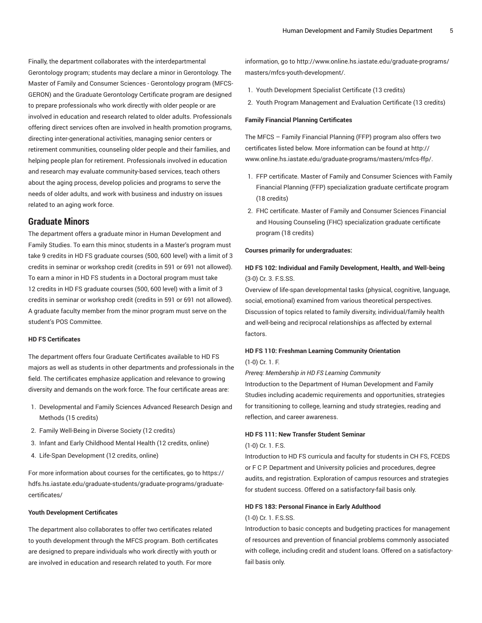Finally, the department collaborates with the interdepartmental Gerontology program; students may declare a minor in Gerontology. The Master of Family and Consumer Sciences - Gerontology program (MFCS-GERON) and the Graduate Gerontology Certificate program are designed to prepare professionals who work directly with older people or are involved in education and research related to older adults. Professionals offering direct services often are involved in health promotion programs, directing inter-generational activities, managing senior centers or retirement communities, counseling older people and their families, and helping people plan for retirement. Professionals involved in education and research may evaluate community-based services, teach others about the aging process, develop policies and programs to serve the needs of older adults, and work with business and industry on issues related to an aging work force.

## **Graduate Minors**

The department offers a graduate minor in Human Development and Family Studies. To earn this minor, students in a Master's program must take 9 credits in HD FS graduate courses (500, 600 level) with a limit of 3 credits in seminar or workshop credit (credits in 591 or 691 not allowed). To earn a minor in HD FS students in a Doctoral program must take 12 credits in HD FS graduate courses (500, 600 level) with a limit of 3 credits in seminar or workshop credit (credits in 591 or 691 not allowed). A graduate faculty member from the minor program must serve on the student's POS Committee.

## **HD FS Certificates**

The department offers four Graduate Certificates available to HD FS majors as well as students in other departments and professionals in the field. The certificates emphasize application and relevance to growing diversity and demands on the work force. The four certificate areas are:

- 1. Developmental and Family Sciences Advanced Research Design and Methods (15 credits)
- 2. Family Well-Being in Diverse Society (12 credits)
- 3. Infant and Early Childhood Mental Health (12 credits, online)
- 4. Life-Span Development (12 credits, online)

For more information about courses for the certificates, go to [https://](https://hdfs.hs.iastate.edu/graduate-students/graduate-programs/graduate-certificates/) [hdfs.hs.iastate.edu/graduate-students/graduate-programs/graduate](https://hdfs.hs.iastate.edu/graduate-students/graduate-programs/graduate-certificates/)[certificates/](https://hdfs.hs.iastate.edu/graduate-students/graduate-programs/graduate-certificates/)

#### **Youth Development Certificates**

The department also collaborates to offer two certificates related to youth development through the MFCS program. Both certificates are designed to prepare individuals who work directly with youth or are involved in education and research related to youth. For more

information, go to [http://www.online.hs.iastate.edu/graduate-programs/](http://www.online.hs.iastate.edu/graduate-programs/masters/mfcs-youth-development/) [masters/mfcs-youth-development/.](http://www.online.hs.iastate.edu/graduate-programs/masters/mfcs-youth-development/)

- 1. Youth Development Specialist Certificate (13 credits)
- 2. Youth Program Management and Evaluation Certificate (13 credits)

#### **Family Financial Planning Certificates**

The MFCS – Family Financial Planning (FFP) program also offers two certificates listed below. More information can be found at [http://](http://www.online.hs.iastate.edu/graduate-programs/masters/mfcs-ffp/) [www.online.hs.iastate.edu/graduate-programs/masters/mfcs-ffp/](http://www.online.hs.iastate.edu/graduate-programs/masters/mfcs-ffp/).

- 1. FFP certificate. Master of Family and Consumer Sciences with Family Financial Planning (FFP) specialization graduate certificate program (18 credits)
- 2. FHC certificate. Master of Family and Consumer Sciences Financial and Housing Counseling (FHC) specialization graduate certificate program (18 credits)

#### **Courses primarily for undergraduates:**

## **HD FS 102: Individual and Family Development, Health, and Well-being** (3-0) Cr. 3. F.S.SS.

Overview of life-span developmental tasks (physical, cognitive, language, social, emotional) examined from various theoretical perspectives. Discussion of topics related to family diversity, individual/family health and well-being and reciprocal relationships as affected by external factors.

## **HD FS 110: Freshman Learning Community Orientation** (1-0) Cr. 1. F.

*Prereq: Membership in HD FS Learning Community*

Introduction to the Department of Human Development and Family Studies including academic requirements and opportunities, strategies for transitioning to college, learning and study strategies, reading and reflection, and career awareness.

#### **HD FS 111: New Transfer Student Seminar**

#### (1-0) Cr. 1. F.S.

Introduction to HD FS curricula and faculty for students in CH FS, FCEDS or F C P. Department and University policies and procedures, degree audits, and registration. Exploration of campus resources and strategies for student success. Offered on a satisfactory-fail basis only.

#### **HD FS 183: Personal Finance in Early Adulthood**

#### (1-0) Cr. 1. F.S.SS.

Introduction to basic concepts and budgeting practices for management of resources and prevention of financial problems commonly associated with college, including credit and student loans. Offered on a satisfactoryfail basis only.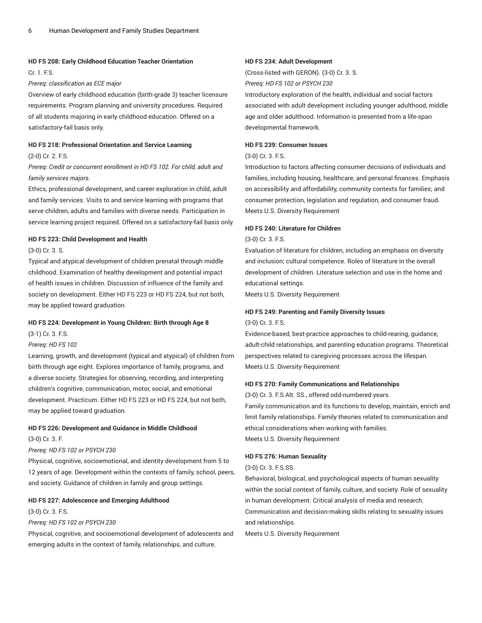#### **HD FS 208: Early Childhood Education Teacher Orientation**

Cr. 1. F.S.

#### *Prereq: classification as ECE major*

Overview of early childhood education (birth-grade 3) teacher licensure requirements. Program planning and university procedures. Required of all students majoring in early childhood education. Offered on a satisfactory-fail basis only.

## **HD FS 218: Professional Orientation and Service Learning**

#### (2-0) Cr. 2. F.S.

## *Prereq: Credit or concurrent enrollment in HD FS 102. For child, adult and family services majors.*

Ethics, professional development, and career exploration in child, adult and family services. Visits to and service learning with programs that serve children, adults and families with diverse needs. Participation in service learning project required. Offered on a satisfactory-fail basis only.

#### **HD FS 223: Child Development and Health**

#### (3-0) Cr. 3. S.

Typical and atypical development of children prenatal through middle childhood. Examination of healthy development and potential impact of health issues in children. Discussion of influence of the family and society on development. Either HD FS 223 or HD FS 224, but not both, may be applied toward graduation.

#### **HD FS 224: Development in Young Children: Birth through Age 8**

(3-1) Cr. 3. F.S.

#### *Prereq: HD FS 102*

Learning, growth, and development (typical and atypical) of children from birth through age eight. Explores importance of family, programs, and a diverse society. Strategies for observing, recording, and interpreting children's cognitive, communication, motor, social, and emotional development. Practicum. Either HD FS 223 or HD FS 224, but not both, may be applied toward graduation.

#### **HD FS 226: Development and Guidance in Middle Childhood**

(3-0) Cr. 3. F.

#### *Prereq: HD FS 102 or PSYCH 230*

Physical, cognitive, socioemotional, and identity development from 5 to 12 years of age. Development within the contexts of family, school, peers, and society. Guidance of children in family and group settings.

#### **HD FS 227: Adolescence and Emerging Adulthood**

(3-0) Cr. 3. F.S.

#### *Prereq: HD FS 102 or PSYCH 230*

Physical, cognitive, and socioemotional development of adolescents and emerging adults in the context of family, relationships, and culture.

#### **HD FS 234: Adult Development**

(Cross-listed with GERON). (3-0) Cr. 3. S. *Prereq: HD FS 102 or PSYCH 230*

Introductory exploration of the health, individual and social factors associated with adult development including younger adulthood, middle age and older adulthood. Information is presented from a life-span developmental framework.

#### **HD FS 239: Consumer Issues**

## (3-0) Cr. 3. F.S.

Introduction to factors affecting consumer decisions of individuals and families, including housing, healthcare, and personal finances. Emphasis on accessibility and affordability, community contexts for families; and consumer protection, legislation and regulation, and consumer fraud. Meets U.S. Diversity Requirement

#### **HD FS 240: Literature for Children**

#### (3-0) Cr. 3. F.S.

Evaluation of literature for children, including an emphasis on diversity and inclusion; cultural competence. Roles of literature in the overall development of children. Literature selection and use in the home and educational settings.

Meets U.S. Diversity Requirement

#### **HD FS 249: Parenting and Family Diversity Issues**

(3-0) Cr. 3. F.S.

Evidence-based, best-practice approaches to child-rearing, guidance, adult-child relationships, and parenting education programs. Theoretical perspectives related to caregiving processes across the lifespan. Meets U.S. Diversity Requirement

#### **HD FS 270: Family Communications and Relationships**

(3-0) Cr. 3. F.S.Alt. SS., offered odd-numbered years.

Family communication and its functions to develop, maintain, enrich and limit family relationships. Family theories related to communication and ethical considerations when working with families. Meets U.S. Diversity Requirement

#### **HD FS 276: Human Sexuality**

#### (3-0) Cr. 3. F.S.SS.

Behavioral, biological, and psychological aspects of human sexuality within the social context of family, culture, and society. Role of sexuality in human development. Critical analysis of media and research. Communication and decision-making skills relating to sexuality issues and relationships.

Meets U.S. Diversity Requirement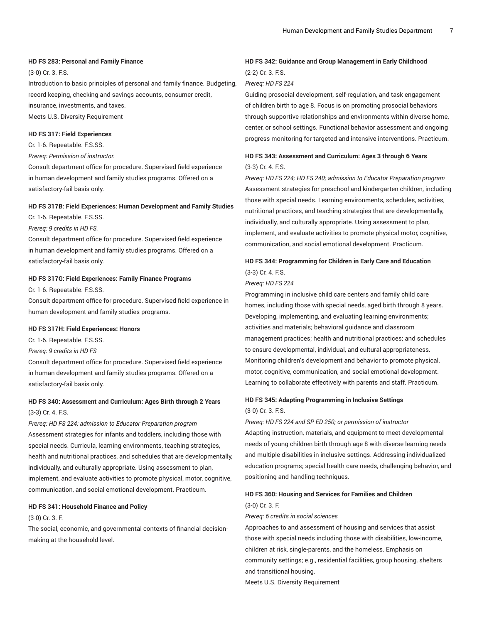#### **HD FS 283: Personal and Family Finance**

(3-0) Cr. 3. F.S.

Introduction to basic principles of personal and family finance. Budgeting, record keeping, checking and savings accounts, consumer credit, insurance, investments, and taxes. Meets U.S. Diversity Requirement

## **HD FS 317: Field Experiences**

Cr. 1-6. Repeatable. F.S.SS.

*Prereq: Permission of instructor.*

Consult department office for procedure. Supervised field experience in human development and family studies programs. Offered on a satisfactory-fail basis only.

#### **HD FS 317B: Field Experiences: Human Development and Family Studies**

Cr. 1-6. Repeatable. F.S.SS.

*Prereq: 9 credits in HD FS.*

Consult department office for procedure. Supervised field experience in human development and family studies programs. Offered on a satisfactory-fail basis only.

#### **HD FS 317G: Field Experiences: Family Finance Programs**

Cr. 1-6. Repeatable. F.S.SS.

Consult department office for procedure. Supervised field experience in human development and family studies programs.

#### **HD FS 317H: Field Experiences: Honors**

Cr. 1-6. Repeatable. F.S.SS.

#### *Prereq: 9 credits in HD FS*

Consult department office for procedure. Supervised field experience in human development and family studies programs. Offered on a satisfactory-fail basis only.

## **HD FS 340: Assessment and Curriculum: Ages Birth through 2 Years** (3-3) Cr. 4. F.S.

*Prereq: HD FS 224; admission to Educator Preparation program* Assessment strategies for infants and toddlers, including those with special needs. Curricula, learning environments, teaching strategies, health and nutritional practices, and schedules that are developmentally, individually, and culturally appropriate. Using assessment to plan, implement, and evaluate activities to promote physical, motor, cognitive, communication, and social emotional development. Practicum.

### **HD FS 341: Household Finance and Policy**

(3-0) Cr. 3. F.

The social, economic, and governmental contexts of financial decisionmaking at the household level.

## **HD FS 342: Guidance and Group Management in Early Childhood** (2-2) Cr. 3. F.S.

#### *Prereq: HD FS 224*

Guiding prosocial development, self-regulation, and task engagement of children birth to age 8. Focus is on promoting prosocial behaviors through supportive relationships and environments within diverse home, center, or school settings. Functional behavior assessment and ongoing progress monitoring for targeted and intensive interventions. Practicum.

## **HD FS 343: Assessment and Curriculum: Ages 3 through 6 Years** (3-3) Cr. 4. F.S.

*Prereq: HD FS 224; HD FS 240; admission to Educator Preparation program* Assessment strategies for preschool and kindergarten children, including those with special needs. Learning environments, schedules, activities, nutritional practices, and teaching strategies that are developmentally, individually, and culturally appropriate. Using assessment to plan, implement, and evaluate activities to promote physical motor, cognitive, communication, and social emotional development. Practicum.

## **HD FS 344: Programming for Children in Early Care and Education** (3-3) Cr. 4. F.S.

#### *Prereq: HD FS 224*

Programming in inclusive child care centers and family child care homes, including those with special needs, aged birth through 8 years. Developing, implementing, and evaluating learning environments; activities and materials; behavioral guidance and classroom management practices; health and nutritional practices; and schedules to ensure developmental, individual, and cultural appropriateness. Monitoring children's development and behavior to promote physical, motor, cognitive, communication, and social emotional development. Learning to collaborate effectively with parents and staff. Practicum.

### **HD FS 345: Adapting Programming in Inclusive Settings** (3-0) Cr. 3. F.S.

*Prereq: HD FS 224 and SP ED 250; or permission of instructor* Adapting instruction, materials, and equipment to meet developmental needs of young children birth through age 8 with diverse learning needs and multiple disabilities in inclusive settings. Addressing individualized education programs; special health care needs, challenging behavior, and positioning and handling techniques.

## **HD FS 360: Housing and Services for Families and Children**

## (3-0) Cr. 3. F. *Prereq: 6 credits in social sciences*

Approaches to and assessment of housing and services that assist those with special needs including those with disabilities, low-income, children at risk, single-parents, and the homeless. Emphasis on community settings; e.g., residential facilities, group housing, shelters and transitional housing.

Meets U.S. Diversity Requirement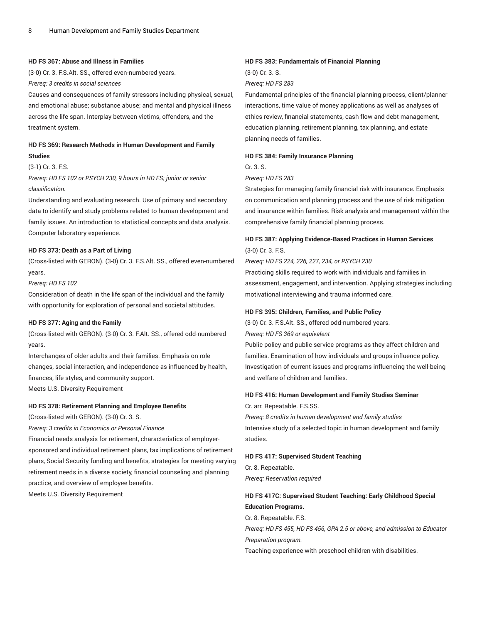#### **HD FS 367: Abuse and Illness in Families**

(3-0) Cr. 3. F.S.Alt. SS., offered even-numbered years.

*Prereq: 3 credits in social sciences*

Causes and consequences of family stressors including physical, sexual, and emotional abuse; substance abuse; and mental and physical illness across the life span. Interplay between victims, offenders, and the treatment system.

## **HD FS 369: Research Methods in Human Development and Family Studies**

#### (3-1) Cr. 3. F.S.

*Prereq: HD FS 102 or PSYCH 230, 9 hours in HD FS; junior or senior classification.*

Understanding and evaluating research. Use of primary and secondary data to identify and study problems related to human development and family issues. An introduction to statistical concepts and data analysis. Computer laboratory experience.

#### **HD FS 373: Death as a Part of Living**

(Cross-listed with GERON). (3-0) Cr. 3. F.S.Alt. SS., offered even-numbered years.

#### *Prereq: HD FS 102*

Consideration of death in the life span of the individual and the family with opportunity for exploration of personal and societal attitudes.

#### **HD FS 377: Aging and the Family**

(Cross-listed with GERON). (3-0) Cr. 3. F.Alt. SS., offered odd-numbered years.

Interchanges of older adults and their families. Emphasis on role changes, social interaction, and independence as influenced by health, finances, life styles, and community support.

Meets U.S. Diversity Requirement

## **HD FS 378: Retirement Planning and Employee Benefits**

(Cross-listed with GERON). (3-0) Cr. 3. S.

*Prereq: 3 credits in Economics or Personal Finance*

Financial needs analysis for retirement, characteristics of employersponsored and individual retirement plans, tax implications of retirement plans, Social Security funding and benefits, strategies for meeting varying retirement needs in a diverse society, financial counseling and planning practice, and overview of employee benefits.

Meets U.S. Diversity Requirement

#### **HD FS 383: Fundamentals of Financial Planning**

(3-0) Cr. 3. S.

*Prereq: HD FS 283*

Fundamental principles of the financial planning process, client/planner interactions, time value of money applications as well as analyses of ethics review, financial statements, cash flow and debt management, education planning, retirement planning, tax planning, and estate planning needs of families.

#### **HD FS 384: Family Insurance Planning**

Cr. 3. S.

*Prereq: HD FS 283*

Strategies for managing family financial risk with insurance. Emphasis on communication and planning process and the use of risk mitigation and insurance within families. Risk analysis and management within the comprehensive family financial planning process.

## **HD FS 387: Applying Evidence-Based Practices in Human Services** (3-0) Cr. 3. F.S.

*Prereq: HD FS 224, 226, 227, 234, or PSYCH 230*

Practicing skills required to work with individuals and families in assessment, engagement, and intervention. Applying strategies including motivational interviewing and trauma informed care.

#### **HD FS 395: Children, Families, and Public Policy**

(3-0) Cr. 3. F.S.Alt. SS., offered odd-numbered years. *Prereq: HD FS 369 or equivalent*

Public policy and public service programs as they affect children and families. Examination of how individuals and groups influence policy. Investigation of current issues and programs influencing the well-being and welfare of children and families.

#### **HD FS 416: Human Development and Family Studies Seminar**

Cr. arr. Repeatable. F.S.SS.

*Prereq: 8 credits in human development and family studies* Intensive study of a selected topic in human development and family studies.

#### **HD FS 417: Supervised Student Teaching**

Cr. 8. Repeatable.

*Prereq: Reservation required*

## **HD FS 417C: Supervised Student Teaching: Early Childhood Special Education Programs.**

Cr. 8. Repeatable. F.S.

*Prereq: HD FS 455, HD FS 456, GPA 2.5 or above, and admission to Educator Preparation program.*

Teaching experience with preschool children with disabilities.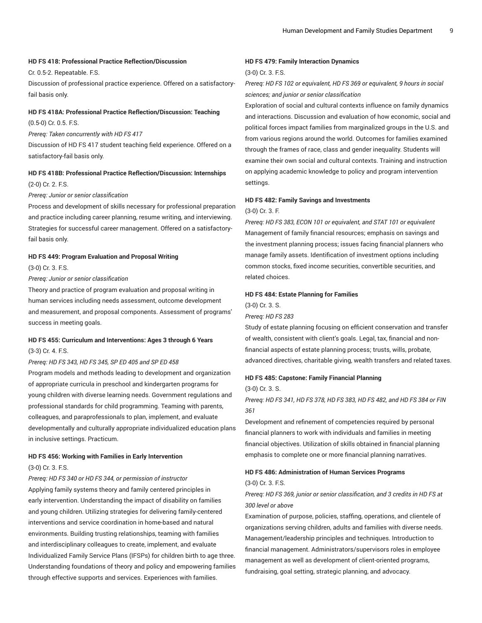#### **HD FS 418: Professional Practice Reflection/Discussion**

Cr. 0.5-2. Repeatable. F.S.

Discussion of professional practice experience. Offered on a satisfactoryfail basis only.

#### **HD FS 418A: Professional Practice Reflection/Discussion: Teaching**

(0.5-0) Cr. 0.5. F.S.

*Prereq: Taken concurrently with HD FS 417*

Discussion of HD FS 417 student teaching field experience. Offered on a satisfactory-fail basis only.

## **HD FS 418B: Professional Practice Reflection/Discussion: Internships** (2-0) Cr. 2. F.S.

*Prereq: Junior or senior classification*

Process and development of skills necessary for professional preparation and practice including career planning, resume writing, and interviewing. Strategies for successful career management. Offered on a satisfactoryfail basis only.

#### **HD FS 449: Program Evaluation and Proposal Writing**

(3-0) Cr. 3. F.S.

*Prereq: Junior or senior classification*

Theory and practice of program evaluation and proposal writing in human services including needs assessment, outcome development and measurement, and proposal components. Assessment of programs' success in meeting goals.

## **HD FS 455: Curriculum and Interventions: Ages 3 through 6 Years** (3-3) Cr. 4. F.S.

*Prereq: HD FS 343, HD FS 345, SP ED 405 and SP ED 458*

Program models and methods leading to development and organization of appropriate curricula in preschool and kindergarten programs for young children with diverse learning needs. Government regulations and professional standards for child programming. Teaming with parents, colleagues, and paraprofessionals to plan, implement, and evaluate developmentally and culturally appropriate individualized education plans in inclusive settings. Practicum.

## **HD FS 456: Working with Families in Early Intervention** (3-0) Cr. 3. F.S.

*Prereq: HD FS 340 or HD FS 344, or permission of instructor* Applying family systems theory and family centered principles in early intervention. Understanding the impact of disability on families and young children. Utilizing strategies for delivering family-centered interventions and service coordination in home-based and natural environments. Building trusting relationships, teaming with families and interdisciplinary colleagues to create, implement, and evaluate Individualized Family Service Plans (IFSPs) for children birth to age three. Understanding foundations of theory and policy and empowering families through effective supports and services. Experiences with families.

#### **HD FS 479: Family Interaction Dynamics**

(3-0) Cr. 3. F.S.

## *Prereq: HD FS 102 or equivalent, HD FS 369 or equivalent, 9 hours in social sciences; and junior or senior classification*

Exploration of social and cultural contexts influence on family dynamics and interactions. Discussion and evaluation of how economic, social and political forces impact families from marginalized groups in the U.S. and from various regions around the world. Outcomes for families examined through the frames of race, class and gender inequality. Students will examine their own social and cultural contexts. Training and instruction on applying academic knowledge to policy and program intervention settings.

## **HD FS 482: Family Savings and Investments**

(3-0) Cr. 3. F.

*Prereq: HD FS 383, ECON 101 or equivalent, and STAT 101 or equivalent* Management of family financial resources; emphasis on savings and the investment planning process; issues facing financial planners who manage family assets. Identification of investment options including common stocks, fixed income securities, convertible securities, and related choices.

#### **HD FS 484: Estate Planning for Families**

(3-0) Cr. 3. S.

*Prereq: HD FS 283*

Study of estate planning focusing on efficient conservation and transfer of wealth, consistent with client's goals. Legal, tax, financial and nonfinancial aspects of estate planning process; trusts, wills, probate, advanced directives, charitable giving, wealth transfers and related taxes.

#### **HD FS 485: Capstone: Family Financial Planning**

(3-0) Cr. 3. S.

## *Prereq: HD FS 341, HD FS 378, HD FS 383, HD FS 482, and HD FS 384 or FIN 361*

Development and refinement of competencies required by personal financial planners to work with individuals and families in meeting financial objectives. Utilization of skills obtained in financial planning emphasis to complete one or more financial planning narratives.

#### **HD FS 486: Administration of Human Services Programs**

#### (3-0) Cr. 3. F.S.

## *Prereq: HD FS 369, junior or senior classification, and 3 credits in HD FS at 300 level or above*

Examination of purpose, policies, staffing, operations, and clientele of organizations serving children, adults and families with diverse needs. Management/leadership principles and techniques. Introduction to financial management. Administrators/supervisors roles in employee management as well as development of client-oriented programs, fundraising, goal setting, strategic planning, and advocacy.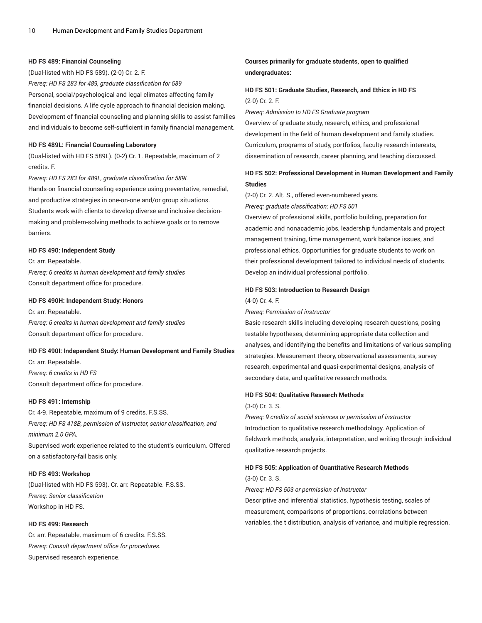#### **HD FS 489: Financial Counseling**

(Dual-listed with HD FS 589). (2-0) Cr. 2. F. *Prereq: HD FS 283 for 489, graduate classification for 589* Personal, social/psychological and legal climates affecting family financial decisions. A life cycle approach to financial decision making. Development of financial counseling and planning skills to assist families and individuals to become self-sufficient in family financial management.

#### **HD FS 489L: Financial Counseling Laboratory**

(Dual-listed with HD FS 589L). (0-2) Cr. 1. Repeatable, maximum of 2 credits. F.

*Prereq: HD FS 283 for 489L, graduate classification for 589L* Hands-on financial counseling experience using preventative, remedial, and productive strategies in one-on-one and/or group situations. Students work with clients to develop diverse and inclusive decisionmaking and problem-solving methods to achieve goals or to remove barriers.

#### **HD FS 490: Independent Study**

Cr. arr. Repeatable. *Prereq: 6 credits in human development and family studies* Consult department office for procedure.

#### **HD FS 490H: Independent Study: Honors**

Cr. arr. Repeatable. *Prereq: 6 credits in human development and family studies* Consult department office for procedure.

#### **HD FS 490I: Independent Study: Human Development and Family Studies**

Cr. arr. Repeatable. *Prereq: 6 credits in HD FS* Consult department office for procedure.

#### **HD FS 491: Internship**

Cr. 4-9. Repeatable, maximum of 9 credits. F.S.SS. *Prereq: HD FS 418B, permission of instructor, senior classification, and minimum 2.0 GPA.* Supervised work experience related to the student's curriculum. Offered

on a satisfactory-fail basis only.

#### **HD FS 493: Workshop**

(Dual-listed with HD FS 593). Cr. arr. Repeatable. F.S.SS. *Prereq: Senior classification* Workshop in HD FS.

#### **HD FS 499: Research**

Cr. arr. Repeatable, maximum of 6 credits. F.S.SS. *Prereq: Consult department office for procedures.* Supervised research experience.

## **Courses primarily for graduate students, open to qualified undergraduates:**

## **HD FS 501: Graduate Studies, Research, and Ethics in HD FS** (2-0) Cr. 2. F.

*Prereq: Admission to HD FS Graduate program*

Overview of graduate study, research, ethics, and professional development in the field of human development and family studies. Curriculum, programs of study, portfolios, faculty research interests, dissemination of research, career planning, and teaching discussed.

## **HD FS 502: Professional Development in Human Development and Family Studies**

(2-0) Cr. 2. Alt. S., offered even-numbered years.

*Prereq: graduate classification; HD FS 501*

Overview of professional skills, portfolio building, preparation for academic and nonacademic jobs, leadership fundamentals and project management training, time management, work balance issues, and professional ethics. Opportunities for graduate students to work on their professional development tailored to individual needs of students. Develop an individual professional portfolio.

#### **HD FS 503: Introduction to Research Design**

#### (4-0) Cr. 4. F.

#### *Prereq: Permission of instructor*

Basic research skills including developing research questions, posing testable hypotheses, determining appropriate data collection and analyses, and identifying the benefits and limitations of various sampling strategies. Measurement theory, observational assessments, survey research, experimental and quasi-experimental designs, analysis of secondary data, and qualitative research methods.

#### **HD FS 504: Qualitative Research Methods**

(3-0) Cr. 3. S.

*Prereq: 9 credits of social sciences or permission of instructor* Introduction to qualitative research methodology. Application of fieldwork methods, analysis, interpretation, and writing through individual qualitative research projects.

#### **HD FS 505: Application of Quantitative Research Methods**

(3-0) Cr. 3. S. *Prereq: HD FS 503 or permission of instructor* Descriptive and inferential statistics, hypothesis testing, scales of measurement, comparisons of proportions, correlations between variables, the t distribution, analysis of variance, and multiple regression.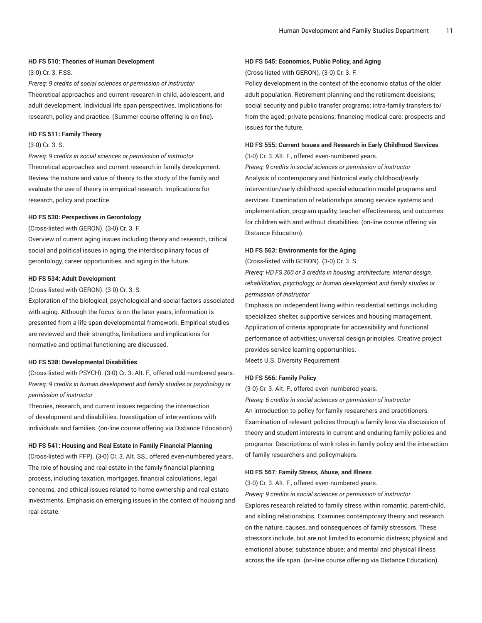#### **HD FS 510: Theories of Human Development**

(3-0) Cr. 3. F.SS.

*Prereq: 9 credits of social sciences or permission of instructor* Theoretical approaches and current research in child, adolescent, and adult development. Individual life span perspectives. Implications for research, policy and practice. (Summer course offering is on-line).

#### **HD FS 511: Family Theory**

#### (3-0) Cr. 3. S.

*Prereq: 9 credits in social sciences or permission of instructor* Theoretical approaches and current research in family development. Review the nature and value of theory to the study of the family and evaluate the use of theory in empirical research. Implications for research, policy and practice.

#### **HD FS 530: Perspectives in Gerontology**

(Cross-listed with GERON). (3-0) Cr. 3. F.

Overview of current aging issues including theory and research, critical social and political issues in aging, the interdisciplinary focus of gerontology, career opportunities, and aging in the future.

#### **HD FS 534: Adult Development**

(Cross-listed with GERON). (3-0) Cr. 3. S.

Exploration of the biological, psychological and social factors associated with aging. Although the focus is on the later years, information is presented from a life-span developmental framework. Empirical studies are reviewed and their strengths, limitations and implications for normative and optimal functioning are discussed.

#### **HD FS 538: Developmental Disabilities**

(Cross-listed with PSYCH). (3-0) Cr. 3. Alt. F., offered odd-numbered years. *Prereq: 9 credits in human development and family studies or psychology or permission of instructor*

Theories, research, and current issues regarding the intersection of development and disabilities. Investigation of interventions with individuals and families. (on-line course offering via Distance Education).

#### **HD FS 541: Housing and Real Estate in Family Financial Planning**

(Cross-listed with FFP). (3-0) Cr. 3. Alt. SS., offered even-numbered years. The role of housing and real estate in the family financial planning process, including taxation, mortgages, financial calculations, legal concerns, and ethical issues related to home ownership and real estate investments. Emphasis on emerging issues in the context of housing and real estate.

#### **HD FS 545: Economics, Public Policy, and Aging**

(Cross-listed with GERON). (3-0) Cr. 3. F.

Policy development in the context of the economic status of the older adult population. Retirement planning and the retirement decisions; social security and public transfer programs; intra-family transfers to/ from the aged; private pensions; financing medical care; prospects and issues for the future.

## **HD FS 555: Current Issues and Research in Early Childhood Services**

(3-0) Cr. 3. Alt. F., offered even-numbered years.

*Prereq: 9 credits in social sciences or permission of instructor* Analysis of contemporary and historical early childhood/early intervention/early childhood special education model programs and services. Examination of relationships among service systems and implementation, program quality, teacher effectiveness, and outcomes for children with and without disabilities. (on-line course offering via Distance Education).

#### **HD FS 563: Environments for the Aging**

(Cross-listed with GERON). (3-0) Cr. 3. S.

*Prereq: HD FS 360 or 3 credits in housing, architecture, interior design, rehabilitation, psychology, or human development and family studies or permission of instructor*

Emphasis on independent living within residential settings including specialized shelter, supportive services and housing management. Application of criteria appropriate for accessibility and functional performance of activities; universal design principles. Creative project provides service learning opportunities. Meets U.S. Diversity Requirement

#### **HD FS 566: Family Policy**

(3-0) Cr. 3. Alt. F., offered even-numbered years.

*Prereq: 6 credits in social sciences or permission of instructor* An introduction to policy for family researchers and practitioners. Examination of relevant policies through a family lens via discussion of theory and student interests in current and enduring family policies and programs. Descriptions of work roles in family policy and the interaction of family researchers and policymakers.

### **HD FS 567: Family Stress, Abuse, and Illness**

(3-0) Cr. 3. Alt. F., offered even-numbered years.

*Prereq: 9 credits in social sciences or permission of instructor* Explores research related to family stress within romantic, parent-child, and sibling relationships. Examines contemporary theory and research on the nature, causes, and consequences of family stressors. These stressors include, but are not limited to economic distress; physical and emotional abuse; substance abuse; and mental and physical illness across the life span. (on-line course offering via Distance Education).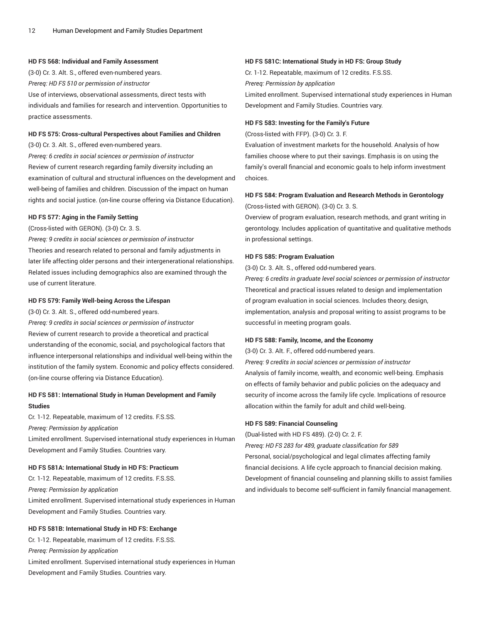#### **HD FS 568: Individual and Family Assessment**

(3-0) Cr. 3. Alt. S., offered even-numbered years. *Prereq: HD FS 510 or permission of instructor* Use of interviews, observational assessments, direct tests with individuals and families for research and intervention. Opportunities to practice assessments.

#### **HD FS 575: Cross-cultural Perspectives about Families and Children**

(3-0) Cr. 3. Alt. S., offered even-numbered years.

*Prereq: 6 credits in social sciences or permission of instructor* Review of current research regarding family diversity including an examination of cultural and structural influences on the development and well-being of families and children. Discussion of the impact on human rights and social justice. (on-line course offering via Distance Education).

#### **HD FS 577: Aging in the Family Setting**

(Cross-listed with GERON). (3-0) Cr. 3. S.

*Prereq: 9 credits in social sciences or permission of instructor* Theories and research related to personal and family adjustments in later life affecting older persons and their intergenerational relationships. Related issues including demographics also are examined through the use of current literature.

#### **HD FS 579: Family Well-being Across the Lifespan**

(3-0) Cr. 3. Alt. S., offered odd-numbered years.

*Prereq: 9 credits in social sciences or permission of instructor* Review of current research to provide a theoretical and practical understanding of the economic, social, and psychological factors that influence interpersonal relationships and individual well-being within the institution of the family system. Economic and policy effects considered. (on-line course offering via Distance Education).

## **HD FS 581: International Study in Human Development and Family Studies**

Cr. 1-12. Repeatable, maximum of 12 credits. F.S.SS.

*Prereq: Permission by application*

Limited enrollment. Supervised international study experiences in Human Development and Family Studies. Countries vary.

#### **HD FS 581A: International Study in HD FS: Practicum**

Cr. 1-12. Repeatable, maximum of 12 credits. F.S.SS. *Prereq: Permission by application* Limited enrollment. Supervised international study experiences in Human Development and Family Studies. Countries vary.

#### **HD FS 581B: International Study in HD FS: Exchange**

Cr. 1-12. Repeatable, maximum of 12 credits. F.S.SS. *Prereq: Permission by application* Limited enrollment. Supervised international study experiences in Human Development and Family Studies. Countries vary.

#### **HD FS 581C: International Study in HD FS: Group Study**

Cr. 1-12. Repeatable, maximum of 12 credits. F.S.SS. *Prereq: Permission by application* Limited enrollment. Supervised international study experiences in Human Development and Family Studies. Countries vary.

#### **HD FS 583: Investing for the Family's Future**

(Cross-listed with FFP). (3-0) Cr. 3. F.

Evaluation of investment markets for the household. Analysis of how families choose where to put their savings. Emphasis is on using the family's overall financial and economic goals to help inform investment choices.

## **HD FS 584: Program Evaluation and Research Methods in Gerontology** (Cross-listed with GERON). (3-0) Cr. 3. S.

Overview of program evaluation, research methods, and grant writing in gerontology. Includes application of quantitative and qualitative methods in professional settings.

#### **HD FS 585: Program Evaluation**

(3-0) Cr. 3. Alt. S., offered odd-numbered years.

*Prereq: 6 credits in graduate level social sciences or permission of instructor* Theoretical and practical issues related to design and implementation of program evaluation in social sciences. Includes theory, design, implementation, analysis and proposal writing to assist programs to be successful in meeting program goals.

#### **HD FS 588: Family, Income, and the Economy**

(3-0) Cr. 3. Alt. F., offered odd-numbered years.

*Prereq: 9 credits in social sciences or permission of instructor* Analysis of family income, wealth, and economic well-being. Emphasis on effects of family behavior and public policies on the adequacy and security of income across the family life cycle. Implications of resource allocation within the family for adult and child well-being.

#### **HD FS 589: Financial Counseling**

(Dual-listed with HD FS 489). (2-0) Cr. 2. F.

*Prereq: HD FS 283 for 489, graduate classification for 589* Personal, social/psychological and legal climates affecting family financial decisions. A life cycle approach to financial decision making.

Development of financial counseling and planning skills to assist families and individuals to become self-sufficient in family financial management.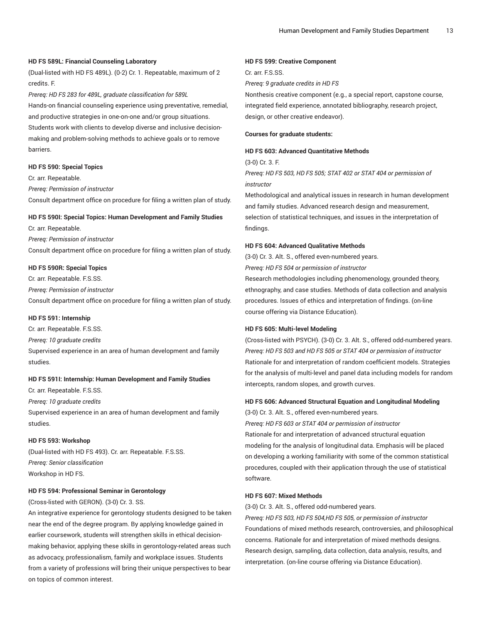#### **HD FS 589L: Financial Counseling Laboratory**

(Dual-listed with HD FS 489L). (0-2) Cr. 1. Repeatable, maximum of 2 credits. F.

*Prereq: HD FS 283 for 489L, graduate classification for 589L* Hands-on financial counseling experience using preventative, remedial, and productive strategies in one-on-one and/or group situations. Students work with clients to develop diverse and inclusive decisionmaking and problem-solving methods to achieve goals or to remove barriers.

#### **HD FS 590: Special Topics**

Cr. arr. Repeatable. *Prereq: Permission of instructor*

Consult department office on procedure for filing a written plan of study.

#### **HD FS 590I: Special Topics: Human Development and Family Studies**

Cr. arr. Repeatable. *Prereq: Permission of instructor* Consult department office on procedure for filing a written plan of study.

#### **HD FS 590R: Special Topics**

Cr. arr. Repeatable. F.S.SS.

*Prereq: Permission of instructor*

Consult department office on procedure for filing a written plan of study.

#### **HD FS 591: Internship**

Cr. arr. Repeatable. F.S.SS.

*Prereq: 10 graduate credits*

Supervised experience in an area of human development and family studies.

#### **HD FS 591I: Internship: Human Development and Family Studies**

Cr. arr. Repeatable. F.S.SS.

*Prereq: 10 graduate credits*

Supervised experience in an area of human development and family studies.

#### **HD FS 593: Workshop**

(Dual-listed with HD FS 493). Cr. arr. Repeatable. F.S.SS. *Prereq: Senior classification* Workshop in HD FS.

#### **HD FS 594: Professional Seminar in Gerontology**

(Cross-listed with GERON). (3-0) Cr. 3. SS.

An integrative experience for gerontology students designed to be taken near the end of the degree program. By applying knowledge gained in earlier coursework, students will strengthen skills in ethical decisionmaking behavior, applying these skills in gerontology-related areas such as advocacy, professionalism, family and workplace issues. Students from a variety of professions will bring their unique perspectives to bear on topics of common interest.

#### **HD FS 599: Creative Component**

Cr. arr. F.S.SS.

*Prereq: 9 graduate credits in HD FS*

Nonthesis creative component (e.g., a special report, capstone course, integrated field experience, annotated bibliography, research project, design, or other creative endeavor).

#### **Courses for graduate students:**

#### **HD FS 603: Advanced Quantitative Methods**

(3-0) Cr. 3. F.

*Prereq: HD FS 503, HD FS 505; STAT 402 or STAT 404 or permission of instructor*

Methodological and analytical issues in research in human development and family studies. Advanced research design and measurement, selection of statistical techniques, and issues in the interpretation of findings.

#### **HD FS 604: Advanced Qualitative Methods**

(3-0) Cr. 3. Alt. S., offered even-numbered years.

*Prereq: HD FS 504 or permission of instructor*

Research methodologies including phenomenology, grounded theory, ethnography, and case studies. Methods of data collection and analysis procedures. Issues of ethics and interpretation of findings. (on-line course offering via Distance Education).

#### **HD FS 605: Multi-level Modeling**

(Cross-listed with PSYCH). (3-0) Cr. 3. Alt. S., offered odd-numbered years. *Prereq: HD FS 503 and HD FS 505 or STAT 404 or permission of instructor* Rationale for and interpretation of random coefficient models. Strategies for the analysis of multi-level and panel data including models for random intercepts, random slopes, and growth curves.

#### **HD FS 606: Advanced Structural Equation and Longitudinal Modeling**

(3-0) Cr. 3. Alt. S., offered even-numbered years.

*Prereq: HD FS 603 or STAT 404 or permission of instructor* Rationale for and interpretation of advanced structural equation modeling for the analysis of longitudinal data. Emphasis will be placed on developing a working familiarity with some of the common statistical procedures, coupled with their application through the use of statistical software.

#### **HD FS 607: Mixed Methods**

(3-0) Cr. 3. Alt. S., offered odd-numbered years.

*Prereq: HD FS 503, HD FS 504,HD FS 505, or permission of instructor* Foundations of mixed methods research, controversies, and philosophical concerns. Rationale for and interpretation of mixed methods designs. Research design, sampling, data collection, data analysis, results, and interpretation. (on-line course offering via Distance Education).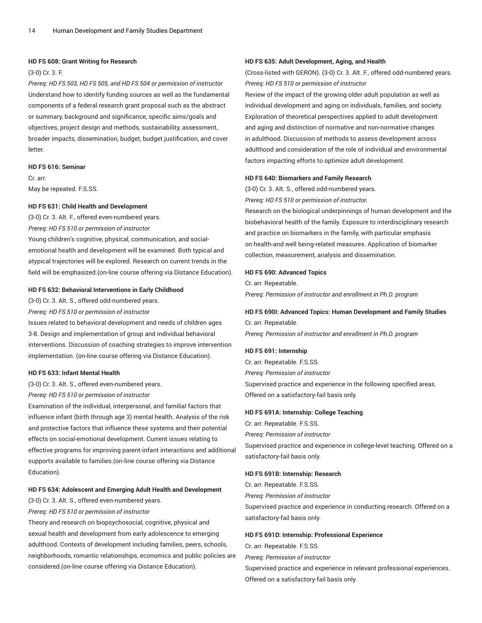#### **HD FS 608: Grant Writing for Research**

#### (3-0) Cr. 3. F.

*Prereq: HD FS 503, HD FS 505, and HD FS 504 or permission of instructor* Understand how to identify funding sources as well as the fundamental components of a federal research grant proposal such as the abstract or summary, background and significance, specific aims/goals and objectives, project design and methods, sustainability, assessment, broader impacts, dissemination, budget, budget justification, and cover letter.

#### **HD FS 616: Seminar**

Cr. arr. May be repeated. F.S.SS.

#### **HD FS 631: Child Health and Development**

(3-0) Cr. 3. Alt. F., offered even-numbered years. *Prereq: HD FS 510 or permission of instructor* Young children's cognitive, physical, communication, and social-

emotional health and development will be examined. Both typical and atypical trajectories will be explored. Research on current trends in the field will be emphasized.(on-line course offering via Distance Education).

### **HD FS 632: Behavioral Interventions in Early Childhood**

(3-0) Cr. 3. Alt. S., offered odd-numbered years.

*Prereq: HD FS 510 or permission of instructor*

Issues related to behavioral development and needs of children ages 3-8. Design and implementation of group and individual behavioral interventions. Discussion of coaching strategies to improve intervention implementation. (on-line course offering via Distance Education).

#### **HD FS 633: Infant Mental Health**

(3-0) Cr. 3. Alt. S., offered even-numbered years.

#### *Prereq: HD FS 510 or permission of instructor*

Examination of the individual, interpersonal, and familial factors that influence infant (birth through age 3) mental health. Analysis of the risk and protective factors that influence these systems and their potential effects on social-emotional development. Current issues relating to effective programs for improving parent-infant interactions and additional supports available to families.(on-line course offering via Distance Education).

#### **HD FS 634: Adolescent and Emerging Adult Health and Development**

(3-0) Cr. 3. Alt. S., offered even-numbered years.

### *Prereq: HD FS 510 or permission of instructor*

Theory and research on biopsychosocial, cognitive, physical and sexual health and development from early adolescence to emerging adulthood. Contexts of development including families, peers, schools, neighborhoods, romantic relationships, economics and public policies are considered.(on-line course offering via Distance Education).

#### **HD FS 635: Adult Development, Aging, and Health**

(Cross-listed with GERON). (3-0) Cr. 3. Alt. F., offered odd-numbered years. *Prereq: HD FS 510 or permission of instructor*

Review of the impact of the growing older adult population as well as individual development and aging on individuals, families, and society. Exploration of theoretical perspectives applied to adult development and aging and distinction of normative and non-normative changes in adulthood. Discussion of methods to assess development across adulthood and consideration of the role of individual and environmental factors impacting efforts to optimize adult development.

#### **HD FS 640: Biomarkers and Family Research**

(3-0) Cr. 3. Alt. S., offered odd-numbered years.

*Prereq: HD FS 510 or permission of instructor.*

Research on the biological underpinnings of human development and the biobehavioral health of the family. Exposure to interdisciplinary research and practice on biomarkers in the family, with particular emphasis on health-and well being-related measures. Application of biomarker collection, measurement, analysis and dissemination.

## **HD FS 690: Advanced Topics**

Cr. arr. Repeatable. *Prereq: Permission of instructor and enrollment in Ph.D. program*

## **HD FS 690I: Advanced Topics: Human Development and Family Studies**

Cr. arr. Repeatable. *Prereq: Permission of instructor and enrollment in Ph.D. program*

#### **HD FS 691: Internship**

Cr. arr. Repeatable. F.S.SS. *Prereq: Permission of instructor* Supervised practice and experience in the following specified areas. Offered on a satisfactory-fail basis only.

#### **HD FS 691A: Internship: College Teaching**

Cr. arr. Repeatable. F.S.SS. *Prereq: Permission of instructor* Supervised practice and experience in college-level teaching. Offered on a satisfactory-fail basis only.

#### **HD FS 691B: Internship: Research**

Cr. arr. Repeatable. F.S.SS. *Prereq: Permission of instructor* Supervised practice and experience in conducting research. Offered on a satisfactory-fail basis only.

#### **HD FS 691D: Internship: Professional Experience**

Cr. arr. Repeatable. F.S.SS. *Prereq: Permission of instructor* Supervised practice and experience in relevant professional experiences. Offered on a satisfactory-fail basis only.